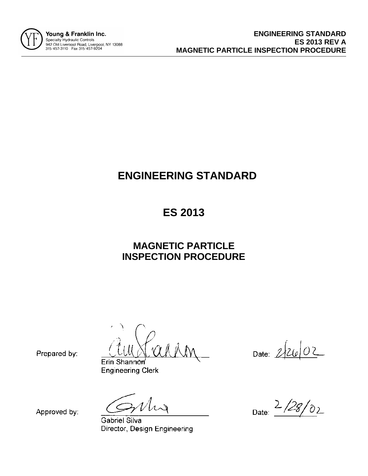

# **ENGINEERING STANDARD**

## **ES 2013**

### **MAGNETIC PARTICLE INSPECTION PROCEDURE**

Erin Shannon **Engineering Clerk** 

Date: 2/26/02

Prepared by:

Approved by:

**Gabriel Silva** Director, Design Engineering

 $2/28/02$ Date: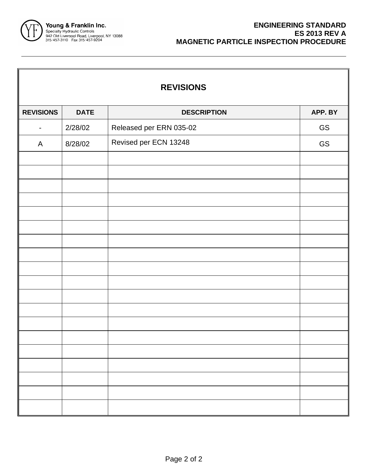

| <b>REVISIONS</b>         |             |                         |         |  |  |
|--------------------------|-------------|-------------------------|---------|--|--|
| <b>REVISIONS</b>         | <b>DATE</b> | <b>DESCRIPTION</b>      | APP. BY |  |  |
| $\overline{\phantom{a}}$ | 2/28/02     | Released per ERN 035-02 | GS      |  |  |
| $\mathsf{A}$             | 8/28/02     | Revised per ECN 13248   | GS      |  |  |
|                          |             |                         |         |  |  |
|                          |             |                         |         |  |  |
|                          |             |                         |         |  |  |
|                          |             |                         |         |  |  |
|                          |             |                         |         |  |  |
|                          |             |                         |         |  |  |
|                          |             |                         |         |  |  |
|                          |             |                         |         |  |  |
|                          |             |                         |         |  |  |
|                          |             |                         |         |  |  |
|                          |             |                         |         |  |  |
|                          |             |                         |         |  |  |
|                          |             |                         |         |  |  |
|                          |             |                         |         |  |  |
|                          |             |                         |         |  |  |
|                          |             |                         |         |  |  |
|                          |             |                         |         |  |  |
|                          |             |                         |         |  |  |
|                          |             |                         |         |  |  |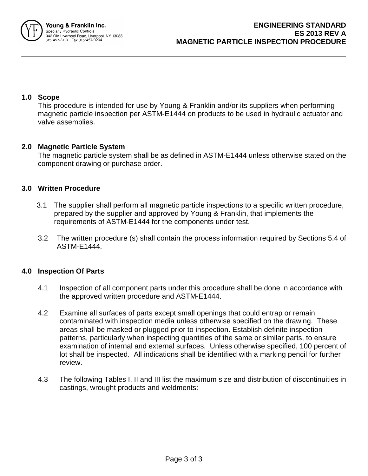

#### **1.0 Scope**

This procedure is intended for use by Young & Franklin and/or its suppliers when performing magnetic particle inspection per ASTM-E1444 on products to be used in hydraulic actuator and valve assemblies.

#### **2.0 Magnetic Particle System**

The magnetic particle system shall be as defined in ASTM-E1444 unless otherwise stated on the component drawing or purchase order.

#### **3.0 Written Procedure**

- 3.1 The supplier shall perform all magnetic particle inspections to a specific written procedure, prepared by the supplier and approved by Young & Franklin, that implements the requirements of ASTM-E1444 for the components under test.
- 3.2 The written procedure (s) shall contain the process information required by Sections 5.4 of ASTM-E1444.

#### **4.0 Inspection Of Parts**

- 4.1 Inspection of all component parts under this procedure shall be done in accordance with the approved written procedure and ASTM-E1444.
- 4.2 Examine all surfaces of parts except small openings that could entrap or remain contaminated with inspection media unless otherwise specified on the drawing. These areas shall be masked or plugged prior to inspection. Establish definite inspection patterns, particularly when inspecting quantities of the same or similar parts, to ensure examination of internal and external surfaces. Unless otherwise specified, 100 percent of lot shall be inspected. All indications shall be identified with a marking pencil for further review.
- 4.3 The following Tables I, II and III list the maximum size and distribution of discontinuities in castings, wrought products and weldments: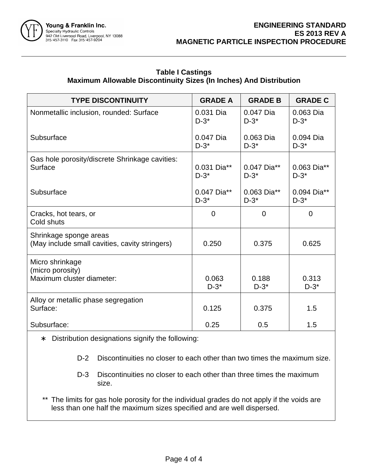

#### **Table I Castings Maximum Allowable Discontinuity Sizes (In Inches) And Distribution**

| <b>TYPE DISCONTINUITY</b>                                                | <b>GRADE A</b>         | <b>GRADE B</b>         | <b>GRADE C</b>         |
|--------------------------------------------------------------------------|------------------------|------------------------|------------------------|
| Nonmetallic inclusion, rounded: Surface                                  | 0.031 Dia<br>$D-3^*$   | 0.047 Dia<br>$D-3^*$   | 0.063 Dia<br>$D-3^*$   |
| Subsurface                                                               | 0.047 Dia<br>$D-3^*$   | $0.063$ Dia<br>$D-3^*$ | 0.094 Dia<br>$D-3^*$   |
| Gas hole porosity/discrete Shrinkage cavities:<br>Surface                | 0.031 Dia**<br>$D-3^*$ | 0.047 Dia**<br>$D-3^*$ | 0.063 Dia**<br>$D-3^*$ |
| Subsurface                                                               | 0.047 Dia**<br>$D-3^*$ | 0.063 Dia**<br>$D-3^*$ | 0.094 Dia**<br>$D-3^*$ |
| Cracks, hot tears, or<br>Cold shuts                                      | 0                      | $\overline{0}$         | $\Omega$               |
| Shrinkage sponge areas<br>(May include small cavities, cavity stringers) | 0.250                  | 0.375                  | 0.625                  |
| Micro shrinkage<br>(micro porosity)<br>Maximum cluster diameter:         | 0.063<br>$D-3^*$       | 0.188<br>$D-3^*$       | 0.313<br>$D-3^*$       |
| Alloy or metallic phase segregation<br>Surface:                          | 0.125                  | 0.375                  | 1.5                    |
| Subsurface:                                                              | 0.25                   | 0.5                    | 1.5                    |

∗ Distribution designations signify the following:

- D-2 Discontinuities no closer to each other than two times the maximum size.
- D-3 Discontinuities no closer to each other than three times the maximum size.
- \*\* The limits for gas hole porosity for the individual grades do not apply if the voids are less than one half the maximum sizes specified and are well dispersed.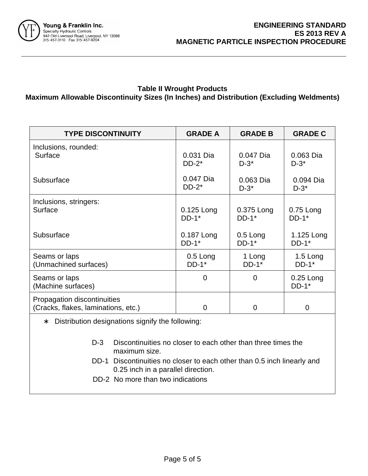

#### **Table II Wrought Products Maximum Allowable Discontinuity Sizes (In Inches) and Distribution (Excluding Weldments)**

| <b>TYPE DISCONTINUITY</b>                                          | <b>GRADE A</b>      | <b>GRADE B</b>      | <b>GRADE C</b>                     |
|--------------------------------------------------------------------|---------------------|---------------------|------------------------------------|
| Inclusions, rounded:                                               | 0.031 Dia           | 0.047 Dia           | 0.063 Dia                          |
| Surface                                                            | $DD-2*$             | $D-3^*$             | $D-3^*$                            |
| Subsurface                                                         | 0.047 Dia           | 0.063 Dia           | 0.094 Dia                          |
|                                                                    | $DD-2*$             | $D-3^*$             | $D-3^*$                            |
| Inclusions, stringers:                                             | $0.125$ Long        | 0.375 Long          | $0.75$ Long                        |
| Surface                                                            | $DD-1$ <sup>*</sup> | $DD-1$ <sup>*</sup> | $DD-1*$                            |
| Subsurface                                                         | 0.187 Long          | $0.5$ Long          | 1.125 Long                         |
|                                                                    | $DD-1$ <sup>*</sup> | $DD-1*$             | $DD-1$ <sup>*</sup>                |
| Seams or laps                                                      | $0.5$ Long          | 1 Long              | $1.5$ Long                         |
| (Unmachined surfaces)                                              | $DD-1$ <sup>*</sup> | $DD-1*$             | $DD-1*$                            |
| Seams or laps<br>(Machine surfaces)                                | $\Omega$            | $\overline{0}$      | $0.25$ Long<br>$DD-1$ <sup>*</sup> |
| Propagation discontinuities<br>(Cracks, flakes, laminations, etc.) | 0                   | 0                   | 0                                  |

- ∗ Distribution designations signify the following:
	- D-3 Discontinuities no closer to each other than three times the maximum size.
	- DD-1 Discontinuities no closer to each other than 0.5 inch linearly and 0.25 inch in a parallel direction.
	- DD-2 No more than two indications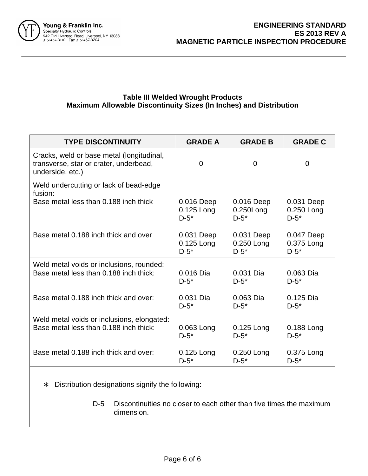

#### **Table III Welded Wrought Products Maximum Allowable Discontinuity Sizes (In Inches) and Distribution**

| <b>TYPE DISCONTINUITY</b>                                                                               | <b>GRADE A</b> | <b>GRADE B</b> | <b>GRADE C</b> |
|---------------------------------------------------------------------------------------------------------|----------------|----------------|----------------|
| Cracks, weld or base metal (longitudinal,<br>transverse, star or crater, underbead,<br>underside, etc.) | $\Omega$       | $\Omega$       | 0              |
| Weld undercutting or lack of bead-edge<br>fusion:                                                       |                |                |                |
| Base metal less than 0.188 inch thick                                                                   | 0.016 Deep     | 0.016 Deep     | 0.031 Deep     |
|                                                                                                         | 0.125 Long     | $0.250$ Long   | 0.250 Long     |
|                                                                                                         | $D-5^*$        | $D-5^*$        | $D-5^*$        |
| Base metal 0.188 inch thick and over                                                                    | 0.031 Deep     | 0.031 Deep     | 0.047 Deep     |
|                                                                                                         | 0.125 Long     | 0.250 Long     | 0.375 Long     |
|                                                                                                         | $D-5^*$        | $D-5^*$        | $D-5^*$        |
| Weld metal voids or inclusions, rounded:                                                                | 0.016 Dia      | 0.031 Dia      | $0.063$ Dia    |
| Base metal less than 0.188 inch thick:                                                                  | $D-5^*$        | $D-5^*$        | $D-5^*$        |
| Base metal 0.188 inch thick and over:                                                                   | 0.031 Dia      | 0.063 Dia      | 0.125 Dia      |
|                                                                                                         | $D-5^*$        | $D-5^*$        | $D-5^*$        |
| Weld metal voids or inclusions, elongated:                                                              | 0.063 Long     | 0.125 Long     | 0.188 Long     |
| Base metal less than 0.188 inch thick:                                                                  | $D-5^*$        | $D-5^*$        | $D-5^*$        |
| Base metal 0.188 inch thick and over:                                                                   | 0.125 Long     | 0.250 Long     | 0.375 Long     |
|                                                                                                         | $D-5^*$        | $D-5^*$        | $D-5^*$        |

∗ Distribution designations signify the following:

D-5 Discontinuities no closer to each other than five times the maximum dimension.